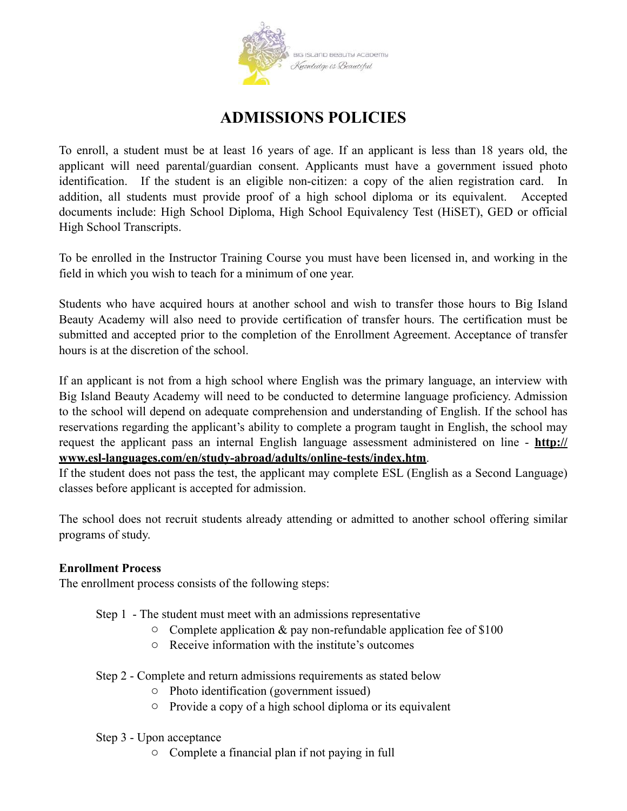

# **ADMISSIONS POLICIES**

To enroll, a student must be at least 16 years of age. If an applicant is less than 18 years old, the applicant will need parental/guardian consent. Applicants must have a government issued photo identification. If the student is an eligible non-citizen: a copy of the alien registration card. In addition, all students must provide proof of a high school diploma or its equivalent. Accepted documents include: High School Diploma, High School Equivalency Test (HiSET), GED or official High School Transcripts.

To be enrolled in the Instructor Training Course you must have been licensed in, and working in the field in which you wish to teach for a minimum of one year.

Students who have acquired hours at another school and wish to transfer those hours to Big Island Beauty Academy will also need to provide certification of transfer hours. The certification must be submitted and accepted prior to the completion of the Enrollment Agreement. Acceptance of transfer hours is at the discretion of the school.

If an applicant is not from a high school where English was the primary language, an interview with Big Island Beauty Academy will need to be conducted to determine language proficiency. Admission to the school will depend on adequate comprehension and understanding of English. If the school has reservations regarding the applicant's ability to complete a program taught in English, the school may request the applicant pass an internal English language assessment administered on line - **[http://](http://www.esl-languages.com/en/study-abroad/adults/online-tests/index.htm) [www.esl-languages.com/en/study-abroad/adults/online-tests/index.htm](http://www.esl-languages.com/en/study-abroad/adults/online-tests/index.htm)**.

If the student does not pass the test, the applicant may complete ESL (English as a Second Language) classes before applicant is accepted for admission.

The school does not recruit students already attending or admitted to another school offering similar programs of study.

# **Enrollment Process**

The enrollment process consists of the following steps:

- Step 1 The student must meet with an admissions representative
	- $\circ$  Complete application & pay non-refundable application fee of \$100
	- o Receive information with the institute's outcomes
- Step 2 Complete and return admissions requirements as stated below
	- o Photo identification (government issued)
	- o Provide a copy of a high school diploma or its equivalent

#### Step 3 - Upon acceptance

o Complete a financial plan if not paying in full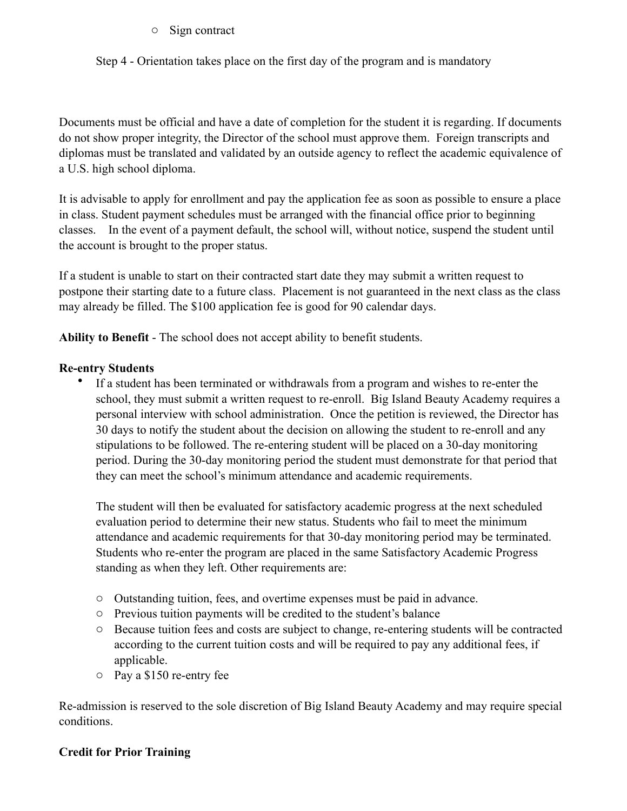# o Sign contract

Step 4 - Orientation takes place on the first day of the program and is mandatory

Documents must be official and have a date of completion for the student it is regarding. If documents do not show proper integrity, the Director of the school must approve them. Foreign transcripts and diplomas must be translated and validated by an outside agency to reflect the academic equivalence of a U.S. high school diploma.

It is advisable to apply for enrollment and pay the application fee as soon as possible to ensure a place in class. Student payment schedules must be arranged with the financial office prior to beginning classes. In the event of a payment default, the school will, without notice, suspend the student until the account is brought to the proper status.

If a student is unable to start on their contracted start date they may submit a written request to postpone their starting date to a future class. Placement is not guaranteed in the next class as the class may already be filled. The \$100 application fee is good for 90 calendar days.

**Ability to Benefit** - The school does not accept ability to benefit students.

# **Re-entry Students**

• If a student has been terminated or withdrawals from a program and wishes to re-enter the school, they must submit a written request to re-enroll. Big Island Beauty Academy requires a personal interview with school administration. Once the petition is reviewed, the Director has 30 days to notify the student about the decision on allowing the student to re-enroll and any stipulations to be followed. The re-entering student will be placed on a 30-day monitoring period. During the 30-day monitoring period the student must demonstrate for that period that they can meet the school's minimum attendance and academic requirements.

The student will then be evaluated for satisfactory academic progress at the next scheduled evaluation period to determine their new status. Students who fail to meet the minimum attendance and academic requirements for that 30-day monitoring period may be terminated. Students who re-enter the program are placed in the same Satisfactory Academic Progress standing as when they left. Other requirements are:

- o Outstanding tuition, fees, and overtime expenses must be paid in advance.
- o Previous tuition payments will be credited to the student's balance
- o Because tuition fees and costs are subject to change, re-entering students will be contracted according to the current tuition costs and will be required to pay any additional fees, if applicable.
- o Pay a \$150 re-entry fee

Re-admission is reserved to the sole discretion of Big Island Beauty Academy and may require special conditions.

# **Credit for Prior Training**